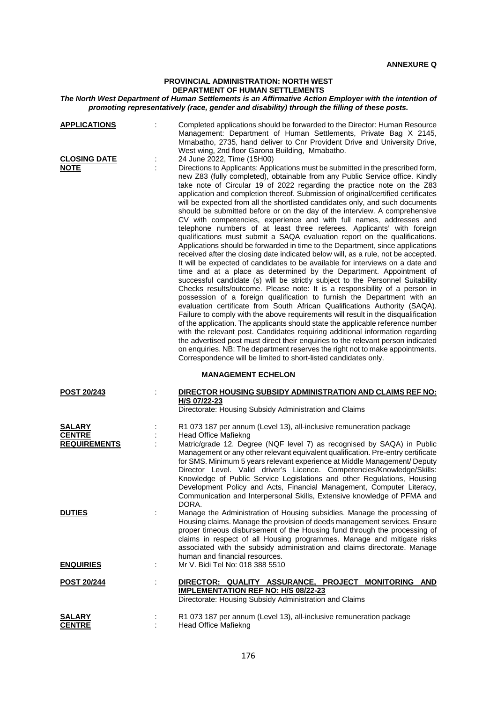## **PROVINCIAL ADMINISTRATION: NORTH WEST DEPARTMENT OF HUMAN SETTLEMENTS**

## *The North West Department of Human Settlements is an Affirmative Action Employer with the intention of promoting representatively (race, gender and disability) through the filling of these posts.*

| <b>APPLICATIONS</b>                                   | Completed applications should be forwarded to the Director: Human Resource<br>Management: Department of Human Settlements, Private Bag X 2145,<br>Mmabatho, 2735, hand deliver to Cnr Provident Drive and University Drive,<br>West wing, 2nd floor Garona Building, Mmabatho.                                                                                                                                                                                                                                                                                                                                                                                                                                                                                                                                                                                                                                                                                                                                                                                                                                                                                                                                                                                                                                                                                                                                                                                                                                                                                                                                                                                                                                                                                                                                                                                                                                         |
|-------------------------------------------------------|------------------------------------------------------------------------------------------------------------------------------------------------------------------------------------------------------------------------------------------------------------------------------------------------------------------------------------------------------------------------------------------------------------------------------------------------------------------------------------------------------------------------------------------------------------------------------------------------------------------------------------------------------------------------------------------------------------------------------------------------------------------------------------------------------------------------------------------------------------------------------------------------------------------------------------------------------------------------------------------------------------------------------------------------------------------------------------------------------------------------------------------------------------------------------------------------------------------------------------------------------------------------------------------------------------------------------------------------------------------------------------------------------------------------------------------------------------------------------------------------------------------------------------------------------------------------------------------------------------------------------------------------------------------------------------------------------------------------------------------------------------------------------------------------------------------------------------------------------------------------------------------------------------------------|
| <b>CLOSING DATE</b><br><b>NOTE</b>                    | 24 June 2022, Time (15H00)<br>Directions to Applicants: Applications must be submitted in the prescribed form,<br>new Z83 (fully completed), obtainable from any Public Service office. Kindly<br>take note of Circular 19 of 2022 regarding the practice note on the Z83<br>application and completion thereof. Submission of original/certified certificates<br>will be expected from all the shortlisted candidates only, and such documents<br>should be submitted before or on the day of the interview. A comprehensive<br>CV with competencies, experience and with full names, addresses and<br>telephone numbers of at least three referees. Applicants' with foreign<br>qualifications must submit a SAQA evaluation report on the qualifications.<br>Applications should be forwarded in time to the Department, since applications<br>received after the closing date indicated below will, as a rule, not be accepted.<br>It will be expected of candidates to be available for interviews on a date and<br>time and at a place as determined by the Department. Appointment of<br>successful candidate (s) will be strictly subject to the Personnel Suitability<br>Checks results/outcome. Please note: It is a responsibility of a person in<br>possession of a foreign qualification to furnish the Department with an<br>evaluation certificate from South African Qualifications Authority (SAQA).<br>Failure to comply with the above requirements will result in the disqualification<br>of the application. The applicants should state the applicable reference number<br>with the relevant post. Candidates requiring additional information regarding<br>the advertised post must direct their enquiries to the relevant person indicated<br>on enquiries. NB: The department reserves the right not to make appointments.<br>Correspondence will be limited to short-listed candidates only. |
|                                                       | <b>MANAGEMENT ECHELON</b>                                                                                                                                                                                                                                                                                                                                                                                                                                                                                                                                                                                                                                                                                                                                                                                                                                                                                                                                                                                                                                                                                                                                                                                                                                                                                                                                                                                                                                                                                                                                                                                                                                                                                                                                                                                                                                                                                              |
| <b>POST 20/243</b>                                    | DIRECTOR HOUSING SUBSIDY ADMINISTRATION AND CLAIMS REF NO:<br>H/S 07/22-23<br>Directorate: Housing Subsidy Administration and Claims                                                                                                                                                                                                                                                                                                                                                                                                                                                                                                                                                                                                                                                                                                                                                                                                                                                                                                                                                                                                                                                                                                                                                                                                                                                                                                                                                                                                                                                                                                                                                                                                                                                                                                                                                                                   |
| <b>SALARY</b><br><b>CENTRE</b><br><b>REQUIREMENTS</b> | R1 073 187 per annum (Level 13), all-inclusive remuneration package<br>Head Office Mafiekng<br>Matric/grade 12. Degree (NQF level 7) as recognised by SAQA) in Public<br>Management or any other relevant equivalent qualification. Pre-entry certificate<br>for SMS. Minimum 5 years relevant experience at Middle Management/ Deputy<br>Director Level. Valid driver's Licence. Competencies/Knowledge/Skills:<br>Knowledge of Public Service Legislations and other Regulations, Housing<br>Development Policy and Acts, Financial Management, Computer Literacy,<br>Communication and Interpersonal Skills, Extensive knowledge of PFMA and<br>DORA.                                                                                                                                                                                                                                                                                                                                                                                                                                                                                                                                                                                                                                                                                                                                                                                                                                                                                                                                                                                                                                                                                                                                                                                                                                                               |
| <b>DUTIES</b>                                         | Manage the Administration of Housing subsidies. Manage the processing of<br>Housing claims. Manage the provision of deeds management services. Ensure<br>proper timeous disbursement of the Housing fund through the processing of<br>claims in respect of all Housing programmes. Manage and mitigate risks<br>associated with the subsidy administration and claims directorate. Manage<br>human and financial resources.                                                                                                                                                                                                                                                                                                                                                                                                                                                                                                                                                                                                                                                                                                                                                                                                                                                                                                                                                                                                                                                                                                                                                                                                                                                                                                                                                                                                                                                                                            |
| <b>ENQUIRIES</b>                                      | Mr V. Bidi Tel No: 018 388 5510                                                                                                                                                                                                                                                                                                                                                                                                                                                                                                                                                                                                                                                                                                                                                                                                                                                                                                                                                                                                                                                                                                                                                                                                                                                                                                                                                                                                                                                                                                                                                                                                                                                                                                                                                                                                                                                                                        |
| <u>POST 20/244</u>                                    | DIRECTOR: QUALITY ASSURANCE, PROJECT MONITORING AND<br><b>IMPLEMENTATION REF NO: H/S 08/22-23</b><br>Directorate: Housing Subsidy Administration and Claims                                                                                                                                                                                                                                                                                                                                                                                                                                                                                                                                                                                                                                                                                                                                                                                                                                                                                                                                                                                                                                                                                                                                                                                                                                                                                                                                                                                                                                                                                                                                                                                                                                                                                                                                                            |
| SALARY<br><b>CENTRE</b>                               | R1 073 187 per annum (Level 13), all-inclusive remuneration package<br>Head Office Mafiekng                                                                                                                                                                                                                                                                                                                                                                                                                                                                                                                                                                                                                                                                                                                                                                                                                                                                                                                                                                                                                                                                                                                                                                                                                                                                                                                                                                                                                                                                                                                                                                                                                                                                                                                                                                                                                            |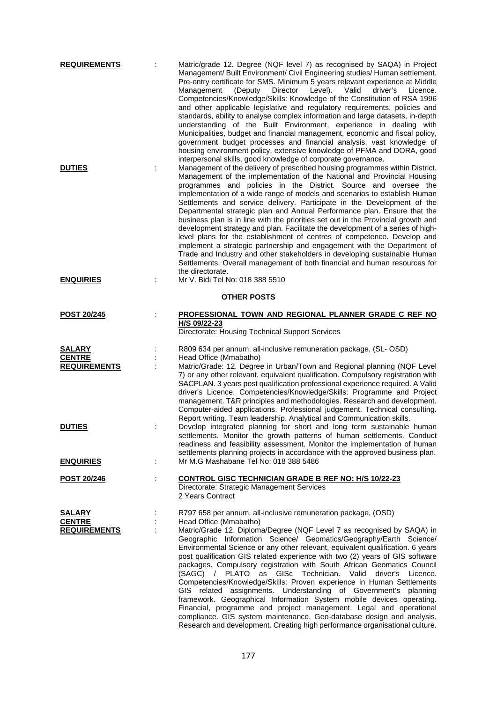| <b>REQUIREMENTS</b>                                   | Matric/grade 12. Degree (NQF level 7) as recognised by SAQA) in Project<br>Management/ Built Environment/ Civil Engineering studies/ Human settlement.<br>Pre-entry certificate for SMS. Minimum 5 years relevant experience at Middle<br>Level).<br>Director<br>Valid<br>Management<br>(Deputy<br>Competencies/Knowledge/Skills: Knowledge of the Constitution of RSA 1996<br>and other applicable legislative and regulatory requirements, policies and<br>standards, ability to analyse complex information and large datasets, in-depth<br>understanding of the Built Environment, experience in dealing with<br>Municipalities, budget and financial management, economic and fiscal policy,<br>government budget processes and financial analysis, vast knowledge of<br>housing environment policy, extensive knowledge of PFMA and DORA, good                                                                                                                                                                                                                          | driver's<br>Licence. |  |  |
|-------------------------------------------------------|-------------------------------------------------------------------------------------------------------------------------------------------------------------------------------------------------------------------------------------------------------------------------------------------------------------------------------------------------------------------------------------------------------------------------------------------------------------------------------------------------------------------------------------------------------------------------------------------------------------------------------------------------------------------------------------------------------------------------------------------------------------------------------------------------------------------------------------------------------------------------------------------------------------------------------------------------------------------------------------------------------------------------------------------------------------------------------|----------------------|--|--|
| <b>DUTIES</b><br><b>ENQUIRIES</b>                     | interpersonal skills, good knowledge of corporate governance.<br>Management of the delivery of prescribed housing programmes within District.<br>Management of the implementation of the National and Provincial Housing<br>programmes and policies in the District. Source and oversee the<br>implementation of a wide range of models and scenarios to establish Human<br>Settlements and service delivery. Participate in the Development of the<br>Departmental strategic plan and Annual Performance plan. Ensure that the<br>business plan is in line with the priorities set out in the Provincial growth and<br>development strategy and plan. Facilitate the development of a series of high-<br>level plans for the establishment of centres of competence. Develop and<br>implement a strategic partnership and engagement with the Department of<br>Trade and Industry and other stakeholders in developing sustainable Human<br>Settlements. Overall management of both financial and human resources for<br>the directorate.<br>Mr V. Bidi Tel No: 018 388 5510 |                      |  |  |
| <b>OTHER POSTS</b>                                    |                                                                                                                                                                                                                                                                                                                                                                                                                                                                                                                                                                                                                                                                                                                                                                                                                                                                                                                                                                                                                                                                               |                      |  |  |
| <b>POST 20/245</b>                                    | PROFESSIONAL TOWN AND REGIONAL PLANNER GRADE C REF NO<br>H/S 09/22-23<br>Directorate: Housing Technical Support Services                                                                                                                                                                                                                                                                                                                                                                                                                                                                                                                                                                                                                                                                                                                                                                                                                                                                                                                                                      |                      |  |  |
| <b>SALARY</b><br><b>CENTRE</b><br><b>REQUIREMENTS</b> | R809 634 per annum, all-inclusive remuneration package, (SL- OSD)<br>Head Office (Mmabatho)<br>Matric/Grade: 12. Degree in Urban/Town and Regional planning (NQF Level<br>7) or any other relevant, equivalent qualification. Compulsory registration with<br>SACPLAN. 3 years post qualification professional experience required. A Valid<br>driver's Licence. Competencies/Knowledge/Skills: Programme and Project<br>management. T&R principles and methodologies. Research and development.<br>Computer-aided applications. Professional judgement. Technical consulting.                                                                                                                                                                                                                                                                                                                                                                                                                                                                                                |                      |  |  |
| <b>DUTIES</b>                                         | Report writing. Team leadership. Analytical and Communication skills.<br>Develop integrated planning for short and long term sustainable human<br>settlements. Monitor the growth patterns of human settlements. Conduct<br>readiness and feasibility assessment. Monitor the implementation of human<br>settlements planning projects in accordance with the approved business plan.                                                                                                                                                                                                                                                                                                                                                                                                                                                                                                                                                                                                                                                                                         |                      |  |  |
| <b>ENQUIRIES</b>                                      | Mr M.G Mashabane Tel No: 018 388 5486<br>÷                                                                                                                                                                                                                                                                                                                                                                                                                                                                                                                                                                                                                                                                                                                                                                                                                                                                                                                                                                                                                                    |                      |  |  |
| POST 20/246                                           | t.<br><b>CONTROL GISC TECHNICIAN GRADE B REF NO: H/S 10/22-23</b><br>Directorate: Strategic Management Services<br>2 Years Contract                                                                                                                                                                                                                                                                                                                                                                                                                                                                                                                                                                                                                                                                                                                                                                                                                                                                                                                                           |                      |  |  |
| <b>SALARY</b><br><b>CENTRE</b><br><b>REQUIREMENTS</b> | R797 658 per annum, all-inclusive remuneration package, (OSD)<br>Head Office (Mmabatho)<br>Matric/Grade 12. Diploma/Degree (NQF Level 7 as recognised by SAQA) in<br>Geographic Information Science/ Geomatics/Geography/Earth Science/<br>Environmental Science or any other relevant, equivalent qualification. 6 years<br>post qualification GIS related experience with two (2) years of GIS software<br>packages. Compulsory registration with South African Geomatics Council<br>(SAGC) / PLATO as GISc Technician. Valid driver's<br>Competencies/Knowledge/Skills: Proven experience in Human Settlements<br>GIS related assignments. Understanding of Government's planning<br>framework. Geographical Information System mobile devices operating.<br>Financial, programme and project management. Legal and operational<br>compliance. GIS system maintenance. Geo-database design and analysis.<br>Research and development. Creating high performance organisational culture.                                                                                    | Licence.             |  |  |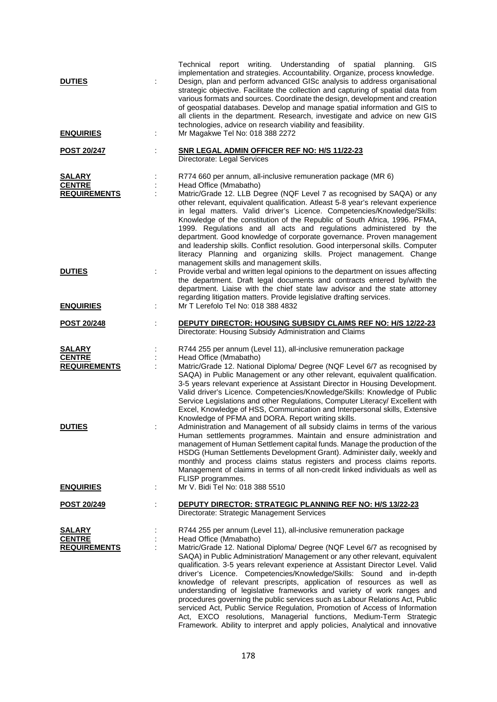| <b>DUTIES</b>                                         | report writing. Understanding of spatial planning.<br>GIS<br>Technical<br>implementation and strategies. Accountability. Organize, process knowledge.<br>Design, plan and perform advanced GISc analysis to address organisational<br>strategic objective. Facilitate the collection and capturing of spatial data from<br>various formats and sources. Coordinate the design, development and creation<br>of geospatial databases. Develop and manage spatial information and GIS to<br>all clients in the department. Research, investigate and advice on new GIS<br>technologies, advice on research viability and feasibility.                                                                                                                                                                                                                                                           |
|-------------------------------------------------------|----------------------------------------------------------------------------------------------------------------------------------------------------------------------------------------------------------------------------------------------------------------------------------------------------------------------------------------------------------------------------------------------------------------------------------------------------------------------------------------------------------------------------------------------------------------------------------------------------------------------------------------------------------------------------------------------------------------------------------------------------------------------------------------------------------------------------------------------------------------------------------------------|
| <b>ENQUIRIES</b>                                      | Mr Magakwe Tel No: 018 388 2272                                                                                                                                                                                                                                                                                                                                                                                                                                                                                                                                                                                                                                                                                                                                                                                                                                                              |
| <b>POST 20/247</b>                                    | SNR LEGAL ADMIN OFFICER REF NO: H/S 11/22-23<br>Directorate: Legal Services                                                                                                                                                                                                                                                                                                                                                                                                                                                                                                                                                                                                                                                                                                                                                                                                                  |
| <b>SALARY</b><br><b>CENTRE</b><br><b>REQUIREMENTS</b> | R774 660 per annum, all-inclusive remuneration package (MR 6)<br>Head Office (Mmabatho)<br>Matric/Grade 12. LLB Degree (NQF Level 7 as recognised by SAQA) or any<br>other relevant, equivalent qualification. Atleast 5-8 year's relevant experience<br>in legal matters. Valid driver's Licence. Competencies/Knowledge/Skills:<br>Knowledge of the constitution of the Republic of South Africa, 1996. PFMA,<br>1999. Regulations and all acts and regulations administered by the<br>department. Good knowledge of corporate governance. Proven management<br>and leadership skills. Conflict resolution. Good interpersonal skills. Computer<br>literacy Planning and organizing skills. Project management. Change                                                                                                                                                                     |
| <b>DUTIES</b>                                         | management skills and management skills.<br>Provide verbal and written legal opinions to the department on issues affecting<br>the department. Draft legal documents and contracts entered by/with the<br>department. Liaise with the chief state law advisor and the state attorney<br>regarding litigation matters. Provide legislative drafting services.                                                                                                                                                                                                                                                                                                                                                                                                                                                                                                                                 |
| <b>ENQUIRIES</b>                                      | Mr T Lerefolo Tel No: 018 388 4832                                                                                                                                                                                                                                                                                                                                                                                                                                                                                                                                                                                                                                                                                                                                                                                                                                                           |
| <b>POST 20/248</b>                                    | DEPUTY DIRECTOR: HOUSING SUBSIDY CLAIMS REF NO: H/S 12/22-23<br>Directorate: Housing Subsidy Administration and Claims                                                                                                                                                                                                                                                                                                                                                                                                                                                                                                                                                                                                                                                                                                                                                                       |
| <b>SALARY</b><br><b>CENTRE</b><br><b>REQUIREMENTS</b> | R744 255 per annum (Level 11), all-inclusive remuneration package<br>Head Office (Mmabatho)<br>Matric/Grade 12. National Diploma/ Degree (NQF Level 6/7 as recognised by<br>SAQA) in Public Management or any other relevant, equivalent qualification.<br>3-5 years relevant experience at Assistant Director in Housing Development.<br>Valid driver's Licence. Competencies/Knowledge/Skills: Knowledge of Public<br>Service Legislations and other Regulations, Computer Literacy/ Excellent with<br>Excel, Knowledge of HSS, Communication and Interpersonal skills, Extensive<br>Knowledge of PFMA and DORA. Report writing skills.                                                                                                                                                                                                                                                    |
| <b>DUTIES</b><br><b>ENQUIRIES</b>                     | Administration and Management of all subsidy claims in terms of the various<br>Human settlements programmes. Maintain and ensure administration and<br>management of Human Settlement capital funds. Manage the production of the<br>HSDG (Human Settlements Development Grant). Administer daily, weekly and<br>monthly and process claims status registers and process claims reports.<br>Management of claims in terms of all non-credit linked individuals as well as<br>FLISP programmes.<br>Mr V. Bidi Tel No: 018 388 5510                                                                                                                                                                                                                                                                                                                                                            |
| POST 20/249                                           | DEPUTY DIRECTOR: STRATEGIC PLANNING REF NO: H/S 13/22-23<br>Directorate: Strategic Management Services                                                                                                                                                                                                                                                                                                                                                                                                                                                                                                                                                                                                                                                                                                                                                                                       |
| <u>SALARY</u><br><b>CENTRE</b><br><b>REQUIREMENTS</b> | R744 255 per annum (Level 11), all-inclusive remuneration package<br>Head Office (Mmabatho)<br>Matric/Grade 12. National Diploma/ Degree (NQF Level 6/7 as recognised by<br>SAQA) in Public Administration/ Management or any other relevant, equivalent<br>qualification. 3-5 years relevant experience at Assistant Director Level. Valid<br>driver's Licence. Competencies/Knowledge/Skills: Sound and in-depth<br>knowledge of relevant prescripts, application of resources as well as<br>understanding of legislative frameworks and variety of work ranges and<br>procedures governing the public services such as Labour Relations Act, Public<br>serviced Act, Public Service Regulation, Promotion of Access of Information<br>Act, EXCO resolutions, Managerial functions, Medium-Term Strategic<br>Framework. Ability to interpret and apply policies, Analytical and innovative |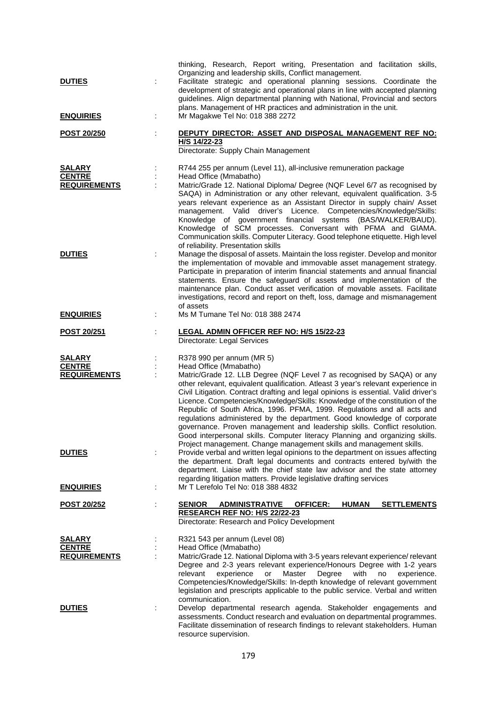| <b>DUTIES</b><br><b>ENQUIRIES</b>                     | thinking, Research, Report writing, Presentation and facilitation skills,<br>Organizing and leadership skills, Conflict management.<br>Facilitate strategic and operational planning sessions. Coordinate the<br>development of strategic and operational plans in line with accepted planning<br>guidelines. Align departmental planning with National, Provincial and sectors<br>plans. Management of HR practices and administration in the unit.<br>Mr Magakwe Tel No: 018 388 2272                                                                                                                                                                                                                                                                                              |
|-------------------------------------------------------|--------------------------------------------------------------------------------------------------------------------------------------------------------------------------------------------------------------------------------------------------------------------------------------------------------------------------------------------------------------------------------------------------------------------------------------------------------------------------------------------------------------------------------------------------------------------------------------------------------------------------------------------------------------------------------------------------------------------------------------------------------------------------------------|
|                                                       |                                                                                                                                                                                                                                                                                                                                                                                                                                                                                                                                                                                                                                                                                                                                                                                      |
| <b>POST 20/250</b>                                    | DEPUTY DIRECTOR: ASSET AND DISPOSAL MANAGEMENT REF NO:<br>H/S 14/22-23<br>Directorate: Supply Chain Management                                                                                                                                                                                                                                                                                                                                                                                                                                                                                                                                                                                                                                                                       |
| <b>SALARY</b><br><b>CENTRE</b><br><b>REQUIREMENTS</b> | R744 255 per annum (Level 11), all-inclusive remuneration package<br>Head Office (Mmabatho)<br>Matric/Grade 12. National Diploma/ Degree (NQF Level 6/7 as recognised by<br>SAQA) in Administration or any other relevant, equivalent qualification. 3-5<br>years relevant experience as an Assistant Director in supply chain/ Asset<br>management. Valid driver's Licence. Competencies/Knowledge/Skills:<br>Knowledge of government financial systems (BAS/WALKER/BAUD).<br>Knowledge of SCM processes. Conversant with PFMA and GIAMA.<br>Communication skills. Computer Literacy. Good telephone etiquette. High level                                                                                                                                                          |
| <b>DUTIES</b>                                         | of reliability. Presentation skills<br>Manage the disposal of assets. Maintain the loss register. Develop and monitor<br>the implementation of movable and immovable asset management strategy.<br>Participate in preparation of interim financial statements and annual financial<br>statements. Ensure the safeguard of assets and implementation of the<br>maintenance plan. Conduct asset verification of movable assets. Facilitate<br>investigations, record and report on theft, loss, damage and mismanagement<br>of assets                                                                                                                                                                                                                                                  |
| <b>ENQUIRIES</b>                                      | Ms M Tumane Tel No: 018 388 2474                                                                                                                                                                                                                                                                                                                                                                                                                                                                                                                                                                                                                                                                                                                                                     |
| <b>POST 20/251</b>                                    | <b>LEGAL ADMIN OFFICER REF NO: H/S 15/22-23</b><br>Directorate: Legal Services                                                                                                                                                                                                                                                                                                                                                                                                                                                                                                                                                                                                                                                                                                       |
| <b>SALARY</b><br><b>CENTRE</b><br><b>REQUIREMENTS</b> | R378 990 per annum (MR 5)<br>Head Office (Mmabatho)<br>Matric/Grade 12. LLB Degree (NQF Level 7 as recognised by SAQA) or any<br>other relevant, equivalent qualification. Atleast 3 year's relevant experience in<br>Civil Litigation. Contract drafting and legal opinions is essential. Valid driver's<br>Licence. Competencies/Knowledge/Skills: Knowledge of the constitution of the<br>Republic of South Africa, 1996. PFMA, 1999. Regulations and all acts and<br>regulations administered by the department. Good knowledge of corporate<br>governance. Proven management and leadership skills. Conflict resolution.<br>Good interpersonal skills. Computer literacy Planning and organizing skills.<br>Project management. Change management skills and management skills. |
| <b>DUTIES</b>                                         | Provide verbal and written legal opinions to the department on issues affecting<br>the department. Draft legal documents and contracts entered by/with the<br>department. Liaise with the chief state law advisor and the state attorney<br>regarding litigation matters. Provide legislative drafting services                                                                                                                                                                                                                                                                                                                                                                                                                                                                      |
| <b>ENQUIRIES</b>                                      | Mr T Lerefolo Tel No: 018 388 4832                                                                                                                                                                                                                                                                                                                                                                                                                                                                                                                                                                                                                                                                                                                                                   |
| <b>POST 20/252</b>                                    | <b>ADMINISTRATIVE</b><br><b>SENIOR</b><br><b>OFFICER:</b><br><b>HUMAN</b><br><b>SETTLEMENTS</b><br>RESEARCH REF NO: H/S 22/22-23<br>Directorate: Research and Policy Development                                                                                                                                                                                                                                                                                                                                                                                                                                                                                                                                                                                                     |
| <b>SALARY</b><br><b>CENTRE</b><br><b>REQUIREMENTS</b> | R321 543 per annum (Level 08)<br>Head Office (Mmabatho)<br>Matric/Grade 12. National Diploma with 3-5 years relevant experience/ relevant<br>Degree and 2-3 years relevant experience/Honours Degree with 1-2 years<br>Master<br>Degree<br>relevant<br>experience<br>or<br>with<br>experience.<br>no<br>Competencies/Knowledge/Skills: In-depth knowledge of relevant government<br>legislation and prescripts applicable to the public service. Verbal and written                                                                                                                                                                                                                                                                                                                  |
| <b>DUTIES</b>                                         | communication.<br>Develop departmental research agenda. Stakeholder engagements and<br>assessments. Conduct research and evaluation on departmental programmes.<br>Facilitate dissemination of research findings to relevant stakeholders. Human<br>resource supervision.                                                                                                                                                                                                                                                                                                                                                                                                                                                                                                            |